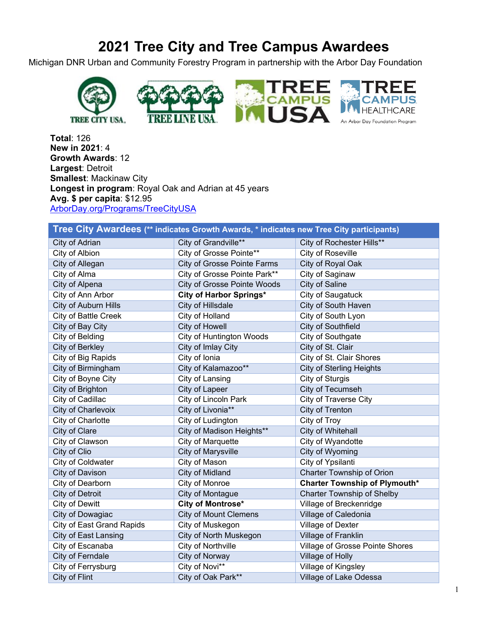## **2021 Tree City and Tree Campus Awardees**

Michigan DNR Urban and Community Forestry Program in partnership with the Arbor Day Foundation



**Total**: 126 **New in 2021**: 4 **Growth Awards**: 12 **Largest**: Detroit **Smallest**: Mackinaw City **Longest in program: Royal Oak and Adrian at 45 years Avg. \$ per capita**: \$12.95 [ArborDay.org/Programs/TreeCityUSA](https://www.arborday.org/programs/treecityusa/)

| Tree City Awardees (** indicates Growth Awards, * indicates new Tree City participants) |                                 |                                      |  |  |
|-----------------------------------------------------------------------------------------|---------------------------------|--------------------------------------|--|--|
| City of Adrian                                                                          | City of Grandville**            | City of Rochester Hills**            |  |  |
| City of Albion                                                                          | City of Grosse Pointe**         | City of Roseville                    |  |  |
| City of Allegan                                                                         | City of Grosse Pointe Farms     | City of Royal Oak                    |  |  |
| City of Alma                                                                            | City of Grosse Pointe Park**    | City of Saginaw                      |  |  |
| City of Alpena                                                                          | City of Grosse Pointe Woods     | City of Saline                       |  |  |
| City of Ann Arbor                                                                       | City of Harbor Springs*         | City of Saugatuck                    |  |  |
| City of Auburn Hills                                                                    | City of Hillsdale               | City of South Haven                  |  |  |
| <b>City of Battle Creek</b>                                                             | City of Holland                 | City of South Lyon                   |  |  |
| City of Bay City                                                                        | City of Howell                  | City of Southfield                   |  |  |
| City of Belding                                                                         | <b>City of Huntington Woods</b> | City of Southgate                    |  |  |
| City of Berkley                                                                         | City of Imlay City              | City of St. Clair                    |  |  |
| City of Big Rapids                                                                      | City of Ionia                   | City of St. Clair Shores             |  |  |
| City of Birmingham                                                                      | City of Kalamazoo**             | <b>City of Sterling Heights</b>      |  |  |
| City of Boyne City                                                                      | City of Lansing                 | City of Sturgis                      |  |  |
| City of Brighton                                                                        | <b>City of Lapeer</b>           | City of Tecumseh                     |  |  |
| City of Cadillac                                                                        | City of Lincoln Park            | City of Traverse City                |  |  |
| City of Charlevoix                                                                      | City of Livonia**               | City of Trenton                      |  |  |
| City of Charlotte                                                                       | City of Ludington               | City of Troy                         |  |  |
| City of Clare                                                                           | City of Madison Heights**       | City of Whitehall                    |  |  |
| City of Clawson                                                                         | City of Marquette               | City of Wyandotte                    |  |  |
| City of Clio                                                                            | <b>City of Marysville</b>       | City of Wyoming                      |  |  |
| City of Coldwater                                                                       | City of Mason                   | City of Ypsilanti                    |  |  |
| City of Davison                                                                         | City of Midland                 | Charter Township of Orion            |  |  |
| City of Dearborn                                                                        | City of Monroe                  | <b>Charter Township of Plymouth*</b> |  |  |
| <b>City of Detroit</b>                                                                  | City of Montague                | <b>Charter Township of Shelby</b>    |  |  |
| City of Dewitt                                                                          | City of Montrose*               | Village of Breckenridge              |  |  |
| City of Dowagiac                                                                        | <b>City of Mount Clemens</b>    | Village of Caledonia                 |  |  |
| <b>City of East Grand Rapids</b>                                                        | City of Muskegon                | Village of Dexter                    |  |  |
| <b>City of East Lansing</b>                                                             | City of North Muskegon          | Village of Franklin                  |  |  |
| City of Escanaba                                                                        | City of Northville              | Village of Grosse Pointe Shores      |  |  |
| City of Ferndale                                                                        | City of Norway                  | Village of Holly                     |  |  |
| City of Ferrysburg                                                                      | City of Novi**                  | Village of Kingsley                  |  |  |
| City of Flint                                                                           | City of Oak Park**              | Village of Lake Odessa               |  |  |